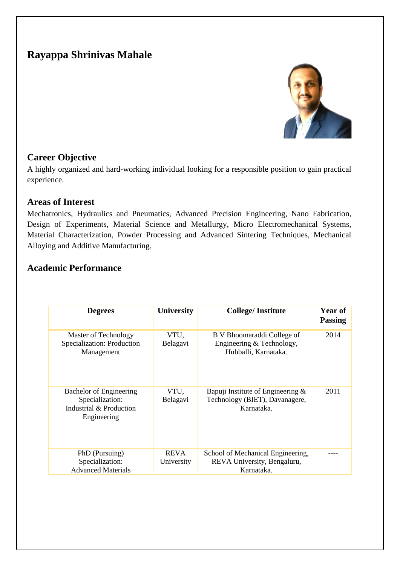# **Rayappa Shrinivas Mahale**



#### **Career Objective**

A highly organized and hard-working individual looking for a responsible position to gain practical experience.

#### **Areas of Interest**

Mechatronics, Hydraulics and Pneumatics, Advanced Precision Engineering, Nano Fabrication, Design of Experiments, Material Science and Metallurgy, Micro Electromechanical Systems, Material Characterization, Powder Processing and Advanced Sintering Techniques, Mechanical Alloying and Additive Manufacturing.

#### **Academic Performance**

| <b>Degrees</b>                                                                              | University                | <b>College/Institute</b>                                                             | <b>Year of</b><br><b>Passing</b> |
|---------------------------------------------------------------------------------------------|---------------------------|--------------------------------------------------------------------------------------|----------------------------------|
| Master of Technology<br>Specialization: Production<br>Management                            | VTU.<br>Belagavi          | B V Bhoomaraddi College of<br>Engineering & Technology,<br>Hubballi, Karnataka.      | 2014                             |
| <b>Bachelor of Engineering</b><br>Specialization:<br>Industrial & Production<br>Engineering | VTU,<br>Belagavi          | Bapuji Institute of Engineering $\&$<br>Technology (BIET), Davanagere,<br>Karnataka. | 2011                             |
| PhD (Pursuing)<br>Specialization:<br><b>Advanced Materials</b>                              | <b>REVA</b><br>University | School of Mechanical Engineering,<br>REVA University, Bengaluru,<br>Karnataka.       |                                  |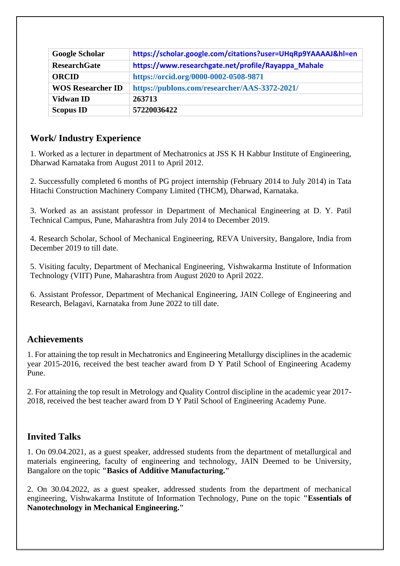| <b>Google Scholar</b>    | https://scholar.google.com/citations?user=UHqRp9YAAAAJ&hl=en |
|--------------------------|--------------------------------------------------------------|
| <b>ResearchGate</b>      | https://www.researchgate.net/profile/Rayappa_Mahale          |
| <b>ORCID</b>             | https://orcid.org/0000-0002-0508-9871                        |
| <b>WOS Researcher ID</b> | https://publons.com/researcher/AAS-3372-2021/                |
| <b>Vidwan ID</b>         | 263713                                                       |
| <b>Scopus ID</b>         | 57220036422                                                  |

#### **Work/ Industry Experience**

1. Worked as a lecturer in department of Mechatronics at JSS K H Kabbur Institute of Engineering, Dharwad Karnataka from August 2011 to April 2012.

2. Successfully completed 6 months of PG project internship (February 2014 to July 2014) in Tata Hitachi Construction Machinery Company Limited (THCM), Dharwad, Karnataka.

3. Worked as an assistant professor in Department of Mechanical Engineering at D. Y. Patil Technical Campus, Pune, Maharashtra from July 2014 to December 2019.

4. Research Scholar, School of Mechanical Engineering, REVA University, Bangalore, India from December 2019 to till date.

5. Visiting faculty, Department of Mechanical Engineering, Vishwakarma Institute of Information Technology (VIIT) Pune, Maharashtra from August 2020 to April 2022.

6. Assistant Professor, Department of Mechanical Engineering, JAIN College of Engineering and Research, Belagavi, Karnataka from June 2022 to till date.

#### **Achievements**

1. For attaining the top result in Mechatronics and Engineering Metallurgy disciplines in the academic year 2015-2016, received the best teacher award from D Y Patil School of Engineering Academy Pune.

2. For attaining the top result in Metrology and Quality Control discipline in the academic year 2017- 2018, received the best teacher award from D Y Patil School of Engineering Academy Pune.

## **Invited Talks**

1. On 09.04.2021, as a guest speaker, addressed students from the department of metallurgical and materials engineering, faculty of engineering and technology, JAIN Deemed to be University, Bangalore on the topic **"Basics of Additive Manufacturing."**

2. On 30.04.2022, as a guest speaker, addressed students from the department of mechanical engineering, Vishwakarma Institute of Information Technology, Pune on the topic **"Essentials of Nanotechnology in Mechanical Engineering."**